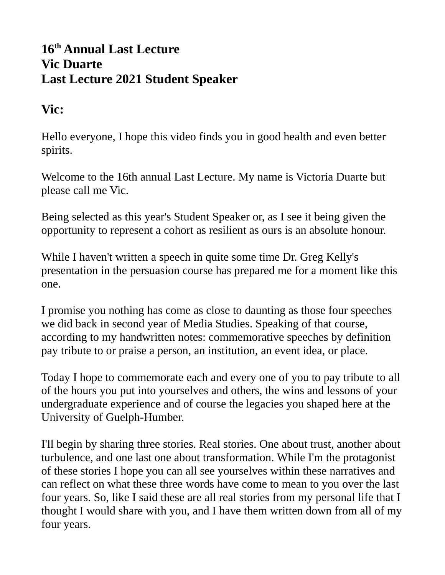## **16th Annual Last Lecture Vic Duarte Last Lecture 2021 Student Speaker**

## **Vic:**

Hello everyone, I hope this video finds you in good health and even better spirits.

Welcome to the 16th annual Last Lecture. My name is Victoria Duarte but please call me Vic.

Being selected as this year's Student Speaker or, as I see it being given the opportunity to represent a cohort as resilient as ours is an absolute honour.

While I haven't written a speech in quite some time Dr. Greg Kelly's presentation in the persuasion course has prepared me for a moment like this one.

I promise you nothing has come as close to daunting as those four speeches we did back in second year of Media Studies. Speaking of that course, according to my handwritten notes: commemorative speeches by definition pay tribute to or praise a person, an institution, an event idea, or place.

Today I hope to commemorate each and every one of you to pay tribute to all of the hours you put into yourselves and others, the wins and lessons of your undergraduate experience and of course the legacies you shaped here at the University of Guelph-Humber.

I'll begin by sharing three stories. Real stories. One about trust, another about turbulence, and one last one about transformation. While I'm the protagonist of these stories I hope you can all see yourselves within these narratives and can reflect on what these three words have come to mean to you over the last four years. So, like I said these are all real stories from my personal life that I thought I would share with you, and I have them written down from all of my four years.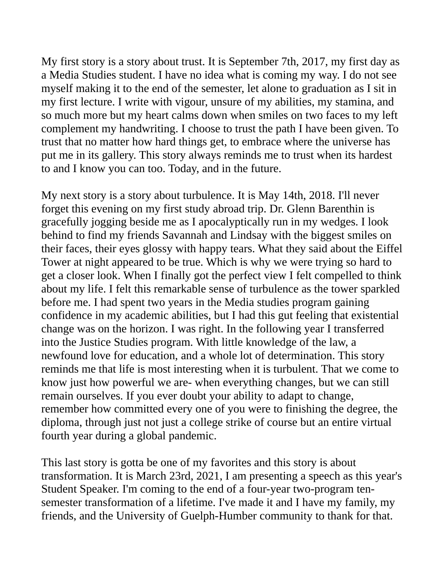My first story is a story about trust. It is September 7th, 2017, my first day as a Media Studies student. I have no idea what is coming my way. I do not see myself making it to the end of the semester, let alone to graduation as I sit in my first lecture. I write with vigour, unsure of my abilities, my stamina, and so much more but my heart calms down when smiles on two faces to my left complement my handwriting. I choose to trust the path I have been given. To trust that no matter how hard things get, to embrace where the universe has put me in its gallery. This story always reminds me to trust when its hardest to and I know you can too. Today, and in the future.

My next story is a story about turbulence. It is May 14th, 2018. I'll never forget this evening on my first study abroad trip. Dr. Glenn Barenthin is gracefully jogging beside me as I apocalyptically run in my wedges. I look behind to find my friends Savannah and Lindsay with the biggest smiles on their faces, their eyes glossy with happy tears. What they said about the Eiffel Tower at night appeared to be true. Which is why we were trying so hard to get a closer look. When I finally got the perfect view I felt compelled to think about my life. I felt this remarkable sense of turbulence as the tower sparkled before me. I had spent two years in the Media studies program gaining confidence in my academic abilities, but I had this gut feeling that existential change was on the horizon. I was right. In the following year I transferred into the Justice Studies program. With little knowledge of the law, a newfound love for education, and a whole lot of determination. This story reminds me that life is most interesting when it is turbulent. That we come to know just how powerful we are- when everything changes, but we can still remain ourselves. If you ever doubt your ability to adapt to change, remember how committed every one of you were to finishing the degree, the diploma, through just not just a college strike of course but an entire virtual fourth year during a global pandemic.

This last story is gotta be one of my favorites and this story is about transformation. It is March 23rd, 2021, I am presenting a speech as this year's Student Speaker. I'm coming to the end of a four-year two-program tensemester transformation of a lifetime. I've made it and I have my family, my friends, and the University of Guelph-Humber community to thank for that.